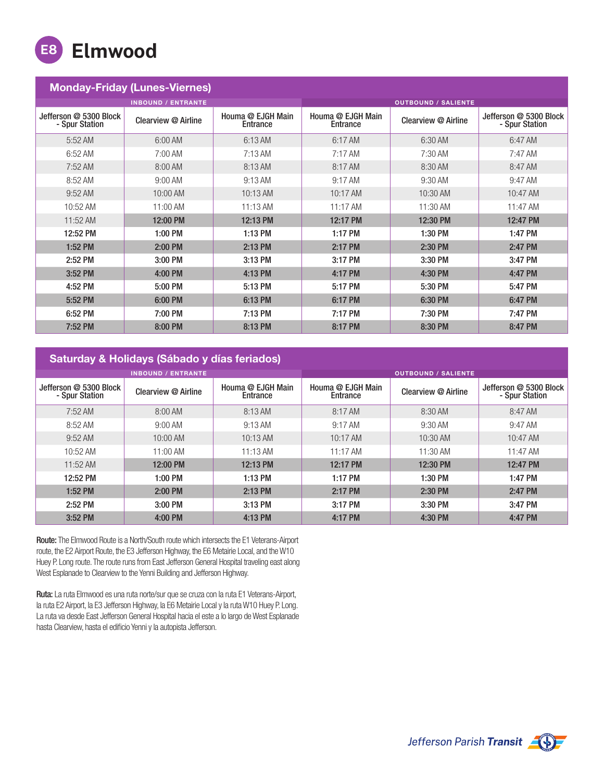

| <b>Monday-Friday (Lunes-Viernes)</b>     |                           |                               |                                      |                     |                                          |  |  |  |
|------------------------------------------|---------------------------|-------------------------------|--------------------------------------|---------------------|------------------------------------------|--|--|--|
|                                          | <b>INBOUND / ENTRANTE</b> |                               | <b>OUTBOUND / SALIENTE</b>           |                     |                                          |  |  |  |
| Jefferson @ 5300 Block<br>- Spur Station | Clearview @ Airline       | Houma @ EJGH Main<br>Entrance | Houma @ EJGH Main<br><b>Entrance</b> | Clearview @ Airline | Jefferson @ 5300 Block<br>- Spur Station |  |  |  |
| 5:52 AM                                  | 6:00 AM                   | 6:13 AM                       | 6:17 AM                              | 6:30 AM             | 6:47 AM                                  |  |  |  |
| 6:52 AM                                  | 7:00 AM                   | $7:13$ AM                     | 7:17 AM                              | 7:30 AM             | 7:47 AM                                  |  |  |  |
| 7:52 AM                                  | 8:00 AM                   | 8:13 AM                       | 8:17 AM                              | 8:30 AM             | 8:47 AM                                  |  |  |  |
| 8:52 AM                                  | $9:00$ AM                 | 9:13 AM                       | 9:17 AM                              | 9:30 AM             | 9:47 AM                                  |  |  |  |
| 9:52 AM                                  | 10:00 AM                  | 10:13 AM                      | 10:17 AM                             | 10:30 AM            | 10:47 AM                                 |  |  |  |
| 10:52 AM                                 | 11:00 AM                  | 11:13 AM                      | 11:17 AM                             | 11:30 AM            | 11:47 AM                                 |  |  |  |
| $11:52 \text{ AM}$                       | 12:00 PM                  | 12:13 PM                      | 12:17 PM                             | 12:30 PM            | 12:47 PM                                 |  |  |  |
| 12:52 PM                                 | 1:00 PM                   | 1:13 PM                       | 1:17 PM                              | 1:30 PM             | 1:47 PM                                  |  |  |  |
| 1:52 PM                                  | 2:00 PM                   | 2:13 PM                       | 2:17 PM                              | 2:30 PM             | 2:47 PM                                  |  |  |  |
| 2:52 PM                                  | 3:00 PM                   | 3:13 PM                       | 3:17 PM                              | 3:30 PM             | 3:47 PM                                  |  |  |  |
| 3:52 PM                                  | 4:00 PM                   | 4:13 PM                       | 4:17 PM                              | 4:30 PM             | 4:47 PM                                  |  |  |  |
| 4:52 PM                                  | 5:00 PM                   | 5:13 PM                       | 5:17 PM                              | 5:30 PM             | 5:47 PM                                  |  |  |  |
| 5:52 PM                                  | 6:00 PM                   | 6:13 PM                       | 6:17 PM                              | 6:30 PM             | 6:47 PM                                  |  |  |  |
| 6:52 PM                                  | 7:00 PM                   | 7:13 PM                       | 7:17 PM                              | 7:30 PM             | 7:47 PM                                  |  |  |  |
| 7:52 PM                                  | 8:00 PM                   | 8:13 PM                       | 8:17 PM                              | 8:30 PM             | 8:47 PM                                  |  |  |  |

## Saturday & Holidays (Sábado y días feriados)

| <b>INBOUND / ENTRANTE</b>                |                     |                               | <b>OUTBOUND / SALIENTE</b>    |                     |                                          |
|------------------------------------------|---------------------|-------------------------------|-------------------------------|---------------------|------------------------------------------|
| Jefferson @ 5300 Block<br>- Spur Station | Clearview @ Airline | Houma @ EJGH Main<br>Entrance | Houma @ EJGH Main<br>Entrance | Clearview @ Airline | Jefferson @ 5300 Block<br>- Spur Station |
| $7:52 \text{ AM}$                        | $8:00 \text{ AM}$   | 8:13 AM                       | 8:17 AM                       | 8:30 AM             | $8:47 \text{ AM}$                        |
| 8:52 AM                                  | $9:00$ AM           | $9:13$ AM                     | 9:17 AM                       | $9:30$ AM           | $9:47$ AM                                |
| $9:52$ AM                                | $10:00 \text{ AM}$  | $10:13$ AM                    | $10:17$ AM                    | 10:30 AM            | $10:47$ AM                               |
| $10:52 \text{ AM}$                       | $11:00$ AM          | $11:13$ AM                    | $11:17$ AM                    | $11:30$ AM          | 11:47 AM                                 |
| $11:52 \text{ AM}$                       | 12:00 PM            | 12:13 PM                      | 12:17 PM                      | 12:30 PM            | 12:47 PM                                 |
| 12:52 PM                                 | $1:00$ PM           | 1:13 PM                       | 1:17 PM                       | 1:30 PM             | 1:47 PM                                  |
| $1:52$ PM                                | $2:00$ PM           | 2:13 PM                       | 2:17 PM                       | 2:30 PM             | 2:47 PM                                  |
| 2:52 PM                                  | 3:00 PM             | $3:13$ PM                     | 3:17 PM                       | 3:30 PM             | 3:47 PM                                  |
| 3:52 PM                                  | $4:00$ PM           | 4:13 PM                       | 4:17 PM                       | 4:30 PM             | 4:47 PM                                  |

Route: The Elmwood Route is a North/South route which intersects the E1 Veterans-Airport route, the E2 Airport Route, the E3 Jefferson Highway, the E6 Metairie Local, and the W10 Huey P. Long route. The route runs from East Jefferson General Hospital traveling east along West Esplanade to Clearview to the Yenni Building and Jefferson Highway.

Ruta: La ruta Elmwood es una ruta norte/sur que se cruza con la ruta E1 Veterans-Airport, la ruta E2 Airport, la E3 Jefferson Highway, la E6 Metairie Local y la ruta W10 Huey P. Long. La ruta va desde East Jefferson General Hospital hacia el este a lo largo de West Esplanade hasta Clearview, hasta el edificio Yenni y la autopista Jefferson.

Jefferson Parish Transit